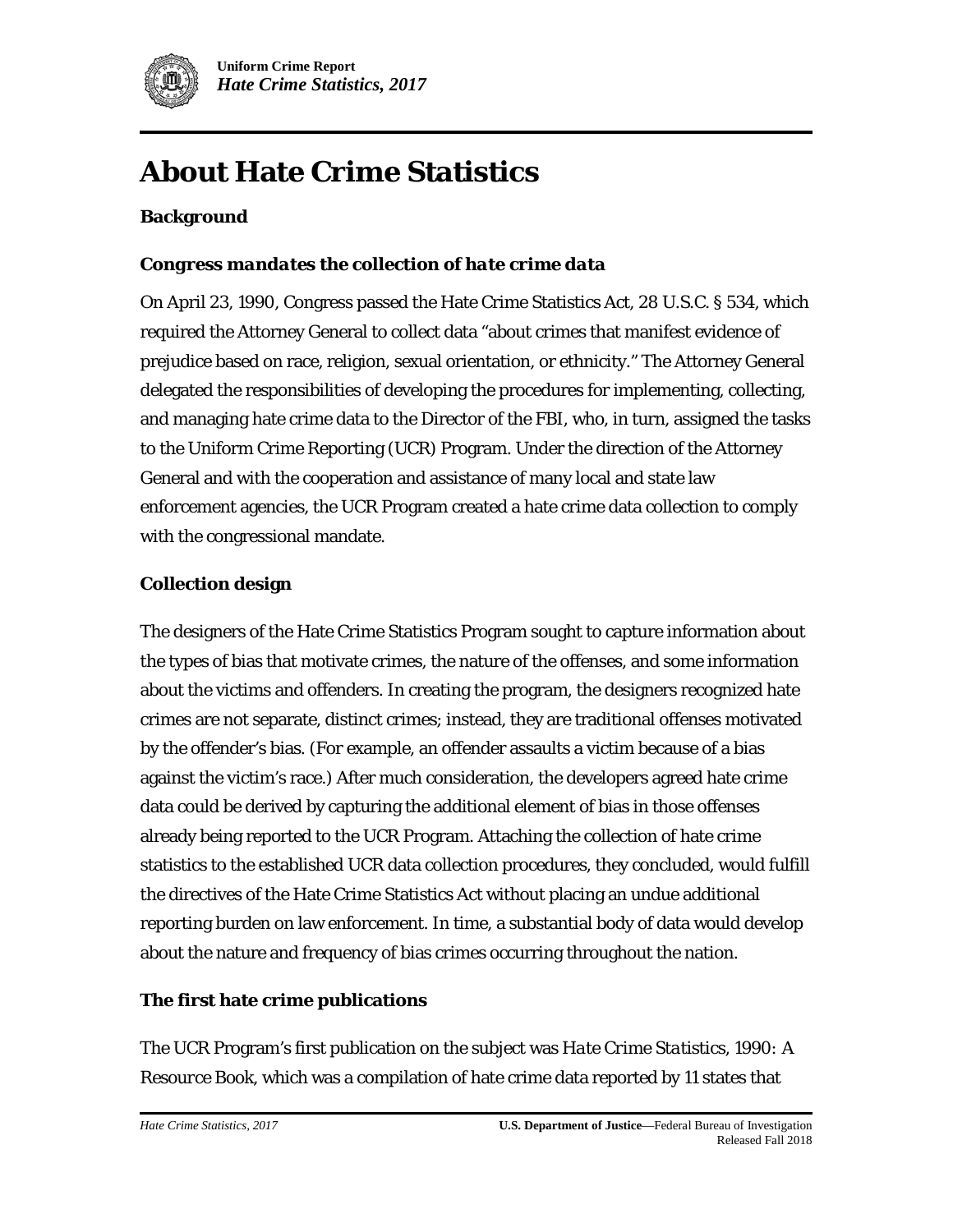

# **About Hate Crime Statistics**

#### **Background**

#### *Congress mandates the collection of hate crime data*

On April 23, 1990, Congress passed the Hate Crime Statistics Act, 28 U.S.C. § 534, which required the Attorney General to collect data "about crimes that manifest evidence of prejudice based on race, religion, sexual orientation, or ethnicity." The Attorney General delegated the responsibilities of developing the procedures for implementing, collecting, and managing hate crime data to the Director of the FBI, who, in turn, assigned the tasks to the Uniform Crime Reporting (UCR) Program. Under the direction of the Attorney General and with the cooperation and assistance of many local and state law enforcement agencies, the UCR Program created a hate crime data collection to comply with the congressional mandate.

#### **Collection design**

The designers of the Hate Crime Statistics Program sought to capture information about the types of bias that motivate crimes, the nature of the offenses, and some information about the victims and offenders. In creating the program, the designers recognized hate crimes are not separate, distinct crimes; instead, they are traditional offenses motivated by the offender's bias. (For example, an offender assaults a victim because of a bias against the victim's race.) After much consideration, the developers agreed hate crime data could be derived by capturing the additional element of bias in those offenses already being reported to the UCR Program. Attaching the collection of hate crime statistics to the established UCR data collection procedures, they concluded, would fulfill the directives of the Hate Crime Statistics Act without placing an undue additional reporting burden on law enforcement. In time, a substantial body of data would develop about the nature and frequency of bias crimes occurring throughout the nation.

#### **The first hate crime publications**

The UCR Program's first publication on the subject was *Hate Crime Statistics, 1990: A Resource Book*, which was a compilation of hate crime data reported by 11 states that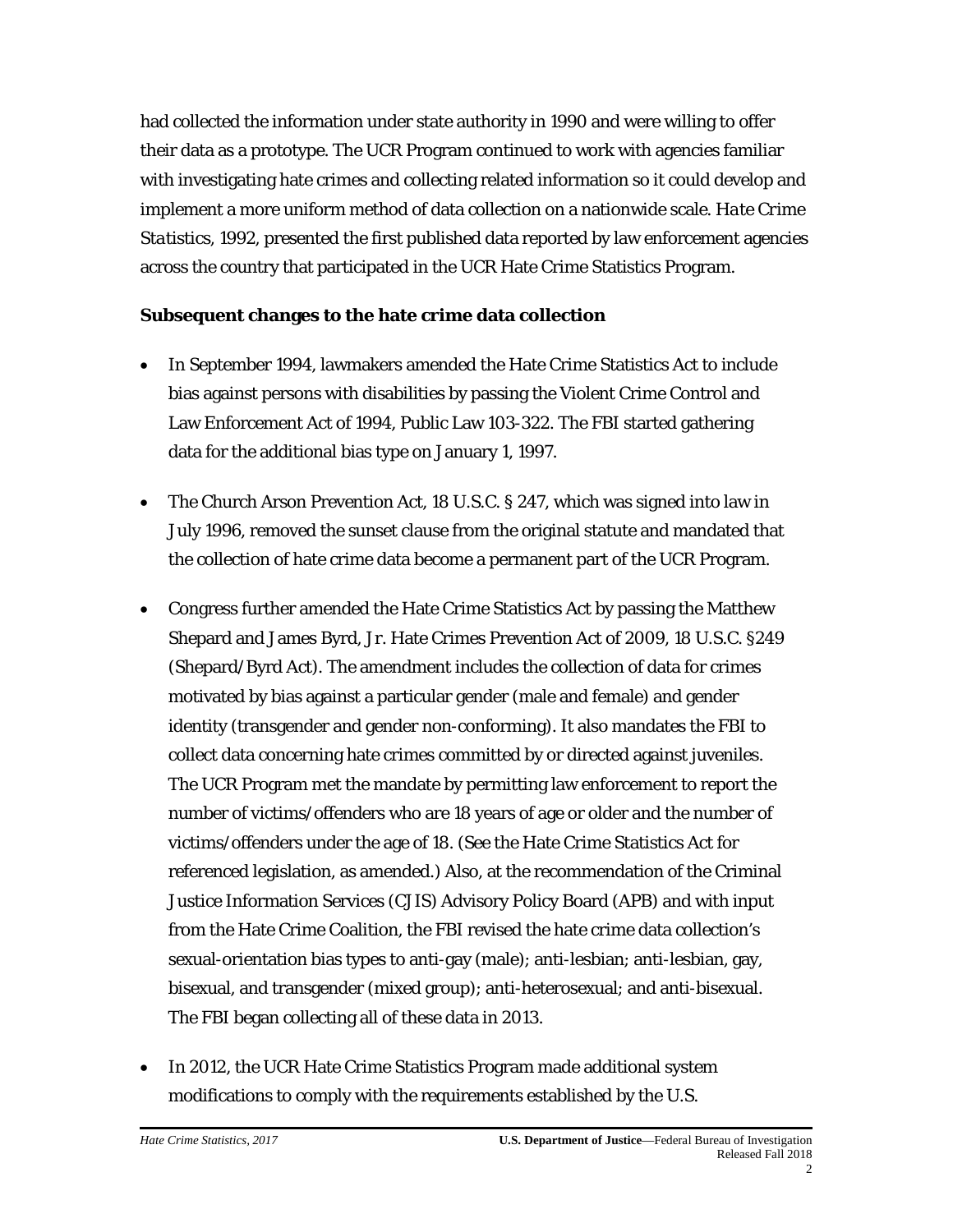had collected the information under state authority in 1990 and were willing to offer their data as a prototype. The UCR Program continued to work with agencies familiar with investigating hate crimes and collecting related information so it could develop and implement a more uniform method of data collection on a nationwide scale. *Hate Crime Statistics, 1992,* presented the first published data reported by law enforcement agencies across the country that participated in the UCR Hate Crime Statistics Program.

#### **Subsequent changes to the hate crime data collection**

- In September 1994, lawmakers amended the Hate Crime Statistics Act to include bias against persons with disabilities by passing the Violent Crime Control and Law Enforcement Act of 1994, Public Law 103-322. The FBI started gathering data for the additional bias type on January 1, 1997.
- The Church Arson Prevention Act, 18 U.S.C. § 247, which was signed into law in July 1996, removed the sunset clause from the original statute and mandated that the collection of hate crime data become a permanent part of the UCR Program.
- Congress further amended the Hate Crime Statistics Act by passing the Matthew Shepard and James Byrd, Jr. Hate Crimes Prevention Act of 2009, 18 U.S.C. §249 (Shepard/Byrd Act). The amendment includes the collection of data for crimes motivated by bias against a particular gender (male and female) and gender identity (transgender and gender non-conforming). It also mandates the FBI to collect data concerning hate crimes committed by or directed against juveniles. The UCR Program met the mandate by permitting law enforcement to report the number of victims/offenders who are 18 years of age or older and the number of victims/offenders under the age of 18. (See the [Hate Crime Statistics Act](file://file.omninet.fbi/omnicommon/Common/CommUnit/Hate%20Crime%20Main%20File/Hate%20Crime%202017/5%20Final/Resource%20Pages/hate_crime_statistics_act) for referenced legislation, as amended.) Also, at the recommendation of the Criminal Justice Information Services (CJIS) Advisory Policy Board (APB) and with input from the Hate Crime Coalition, the FBI revised the hate crime data collection's sexual-orientation bias types to anti-gay (male); anti-lesbian; anti-lesbian, gay, bisexual, and transgender (mixed group); anti-heterosexual; and anti-bisexual. The FBI began collecting all of these data in 2013.
- In 2012, the UCR Hate Crime Statistics Program made additional system modifications to comply with the requirements established by the U.S.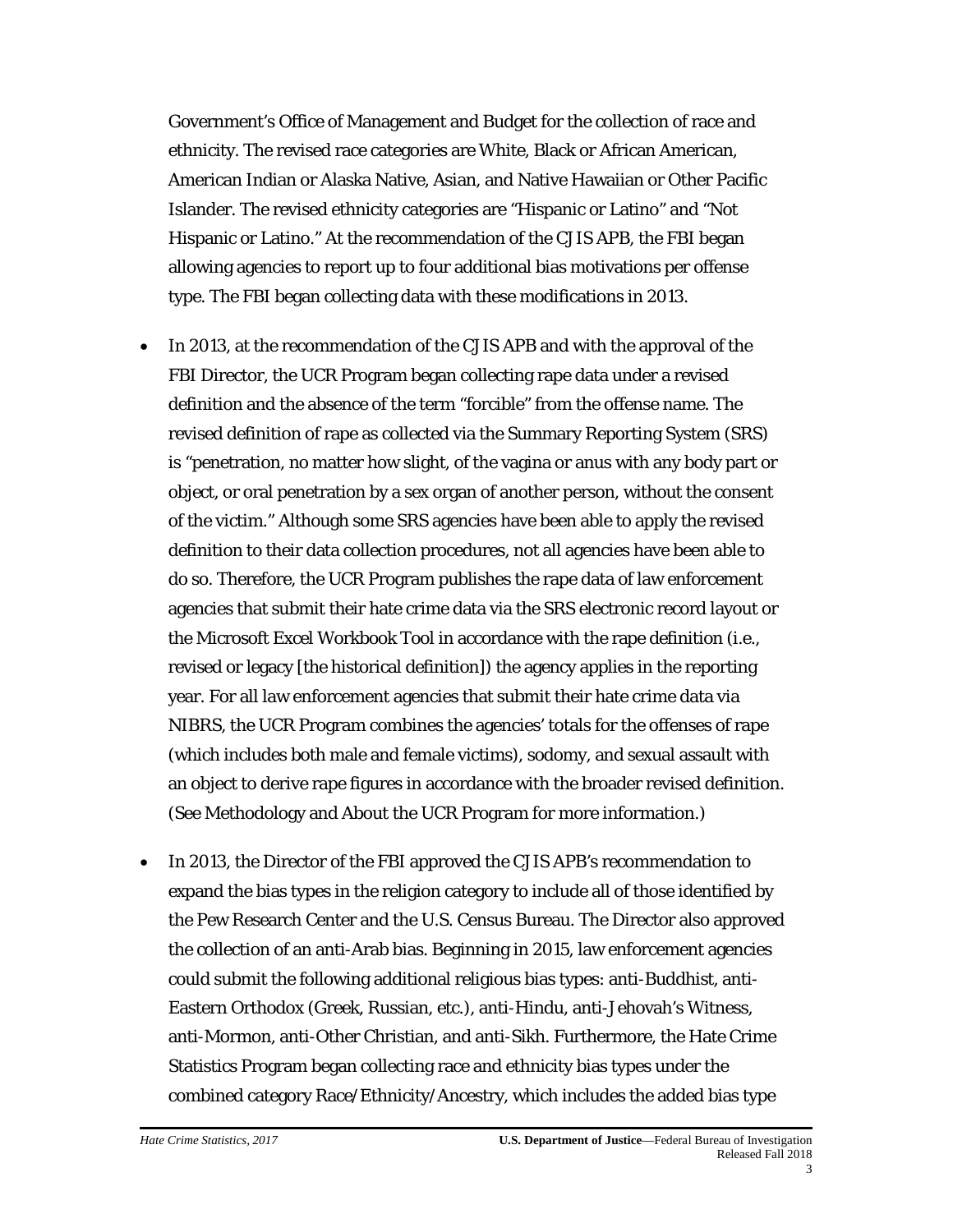Government's Office of Management and Budget for the collection of race and ethnicity. The revised race categories are White, Black or African American, American Indian or Alaska Native, Asian, and Native Hawaiian or Other Pacific Islander. The revised ethnicity categories are "Hispanic or Latino" and "Not Hispanic or Latino." At the recommendation of the CJIS APB, the FBI began allowing agencies to report up to four additional bias motivations per offense type. The FBI began collecting data with these modifications in 2013.

- In 2013, at the recommendation of the CJIS APB and with the approval of the FBI Director, the UCR Program began collecting rape data under a revised definition and the absence of the term "forcible" from the offense name. The revised definition of rape as collected via the Summary Reporting System (SRS) is "penetration, no matter how slight, of the vagina or anus with any body part or object, or oral penetration by a sex organ of another person, without the consent of the victim." Although some SRS agencies have been able to apply the revised definition to their data collection procedures, not all agencies have been able to do so. Therefore, the UCR Program publishes the rape data of law enforcement agencies that submit their hate crime data via the SRS electronic record layout or the Microsoft Excel Workbook Tool in accordance with the rape definition (i.e., revised or legacy [the historical definition]) the agency applies in the reporting year. For all law enforcement agencies that submit their hate crime data via NIBRS, the UCR Program combines the agencies' totals for the offenses of rape (which includes both male and female victims), sodomy, and sexual assault with an object to derive rape figures in accordance with the broader revised definition. (See Methodology and About the UCR Program for more information.)
- In 2013, the Director of the FBI approved the CJIS APB's recommendation to expand the bias types in the religion category to include all of those identified by the Pew Research Center and the U.S. Census Bureau. The Director also approved the collection of an anti-Arab bias. Beginning in 2015, law enforcement agencies could submit the following additional religious bias types: anti-Buddhist, anti-Eastern Orthodox (Greek, Russian, etc.), anti-Hindu, anti-Jehovah's Witness, anti-Mormon, anti-Other Christian, and anti-Sikh. Furthermore, the Hate Crime Statistics Program began collecting race and ethnicity bias types under the combined category Race/Ethnicity/Ancestry, which includes the added bias type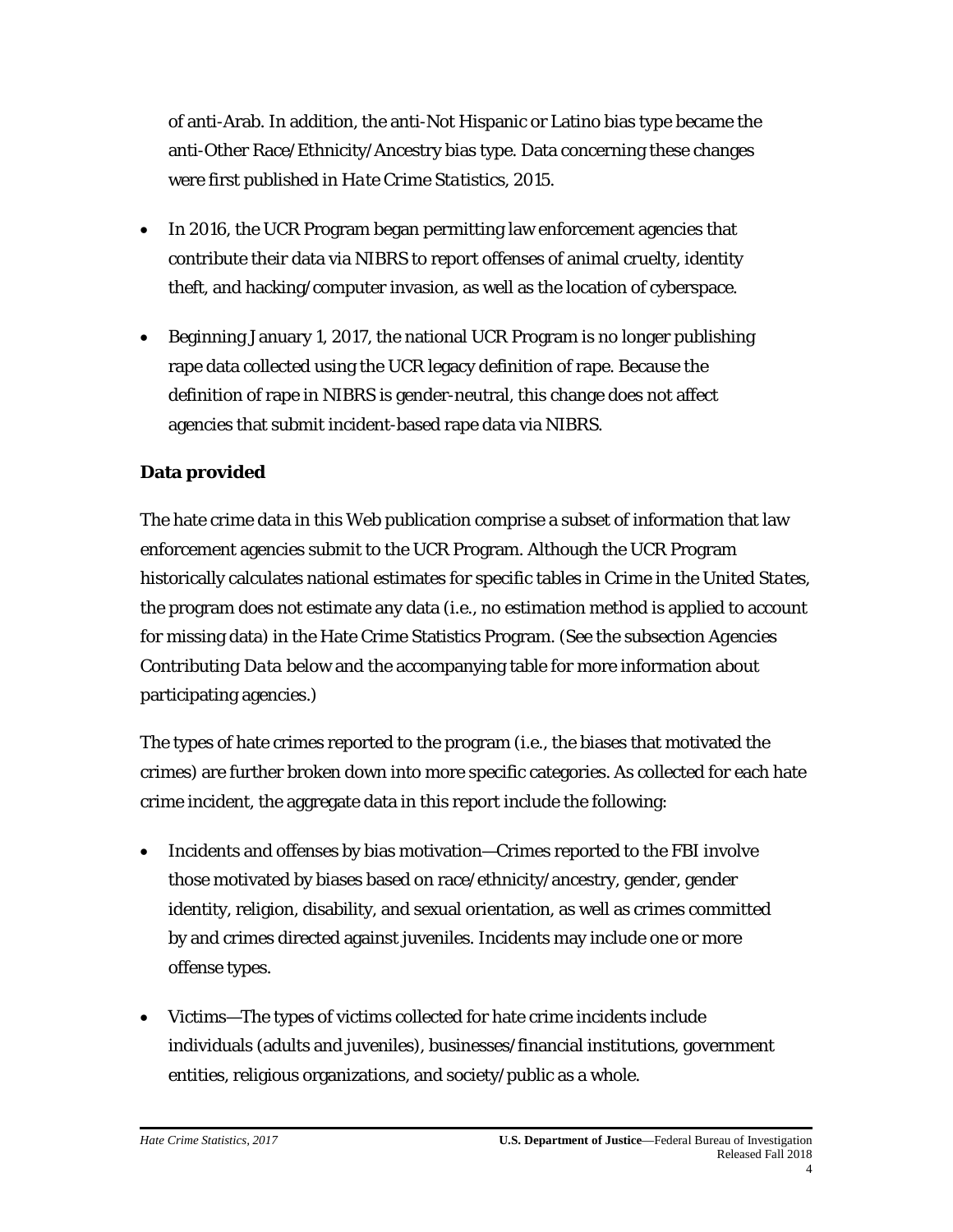of anti-Arab. In addition, the anti-Not Hispanic or Latino bias type became the anti-Other Race/Ethnicity/Ancestry bias type. Data concerning these changes were first published in *Hate Crime Statistics, 2015*.

- In 2016, the UCR Program began permitting law enforcement agencies that contribute their data via NIBRS to report offenses of animal cruelty, identity theft, and hacking/computer invasion, as well as the location of cyberspace.
- Beginning January 1, 2017, the national UCR Program is no longer publishing rape data collected using the UCR legacy definition of rape. Because the definition of rape in NIBRS is gender-neutral, this change does not affect agencies that submit incident-based rape data via NIBRS.

# **Data provided**

The hate crime data in this Web publication comprise a subset of information that law enforcement agencies submit to the UCR Program. Although the UCR Program historically calculates national estimates for specific tables in *Crime in the United States*, the program does not estimate any data (i.e., no estimation method is applied to account for missing data) in the Hate Crime Statistics Program. (See the subsection *Agencies Contributing Data* below and the accompanying table for more information about participating agencies.)

The types of hate crimes reported to the program (i.e., the biases that motivated the crimes) are further broken down into more specific categories. As collected for each hate crime incident, the aggregate data in this report include the following:

- Incidents and offenses by bias motivation—Crimes reported to the FBI involve those motivated by biases based on race/ethnicity/ancestry, gender, gender identity, religion, disability, and sexual orientation, as well as crimes committed by and crimes directed against juveniles. Incidents may include one or more offense types.
- Victims—The types of victims collected for hate crime incidents include individuals (adults and juveniles), businesses/financial institutions, government entities, religious organizations, and society/public as a whole.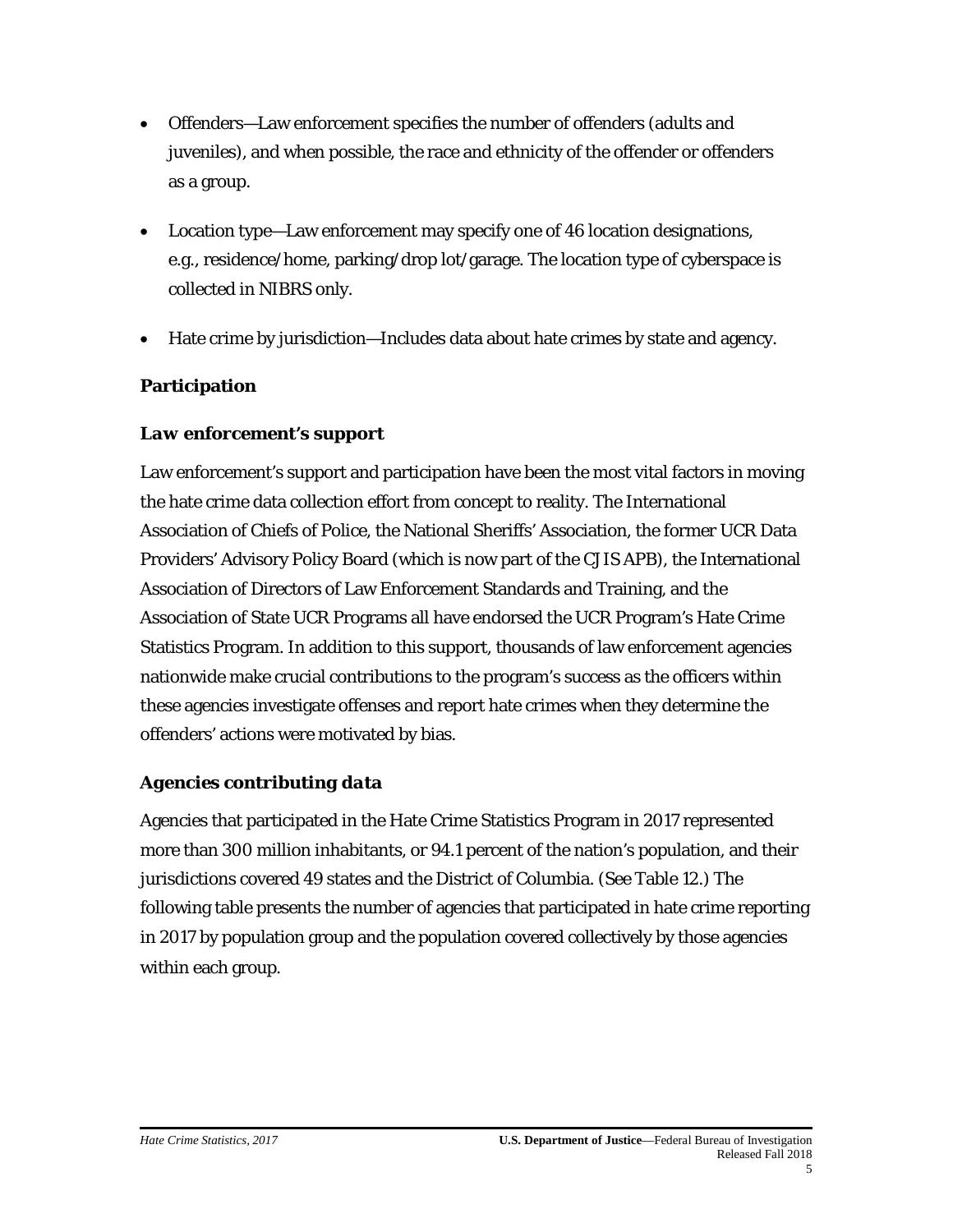- Offenders—Law enforcement specifies the number of offenders (adults and juveniles), and when possible, the race and ethnicity of the offender or offenders as a group.
- Location type—Law enforcement may specify one of 46 location designations, e.g., residence/home, parking/drop lot/garage. The location type of cyberspace is collected in NIBRS only.
- Hate crime by jurisdiction—Includes data about hate crimes by state and agency.

# **Participation**

# *Law enforcement's support*

Law enforcement's support and participation have been the most vital factors in moving the hate crime data collection effort from concept to reality. The International Association of Chiefs of Police, the National Sheriffs' Association, the former UCR Data Providers' Advisory Policy Board (which is now part of the CJIS APB), the International Association of Directors of Law Enforcement Standards and Training, and the Association of State UCR Programs all have endorsed the UCR Program's Hate Crime Statistics Program. In addition to this support, thousands of law enforcement agencies nationwide make crucial contributions to the program's success as the officers within these agencies investigate offenses and report hate crimes when they determine the offenders' actions were motivated by bias.

# *Agencies contributing data*

Agencies that participated in the Hate Crime Statistics Program in 2017 represented more than 300 million inhabitants, or 94.1 percent of the nation's population, and their jurisdictions covered 49 states and the District of Columbia. (See [Table 12.](file://file.omninet.fbi/omnicommon/Common/CommUnit/Hate%20Crime%20Main%20File/Hate%20Crime%202017/5%20Final/Resource%20Pages/table_12)) The following table presents the number of agencies that participated in hate crime reporting in 2017 by population group and the population covered collectively by those agencies within each group.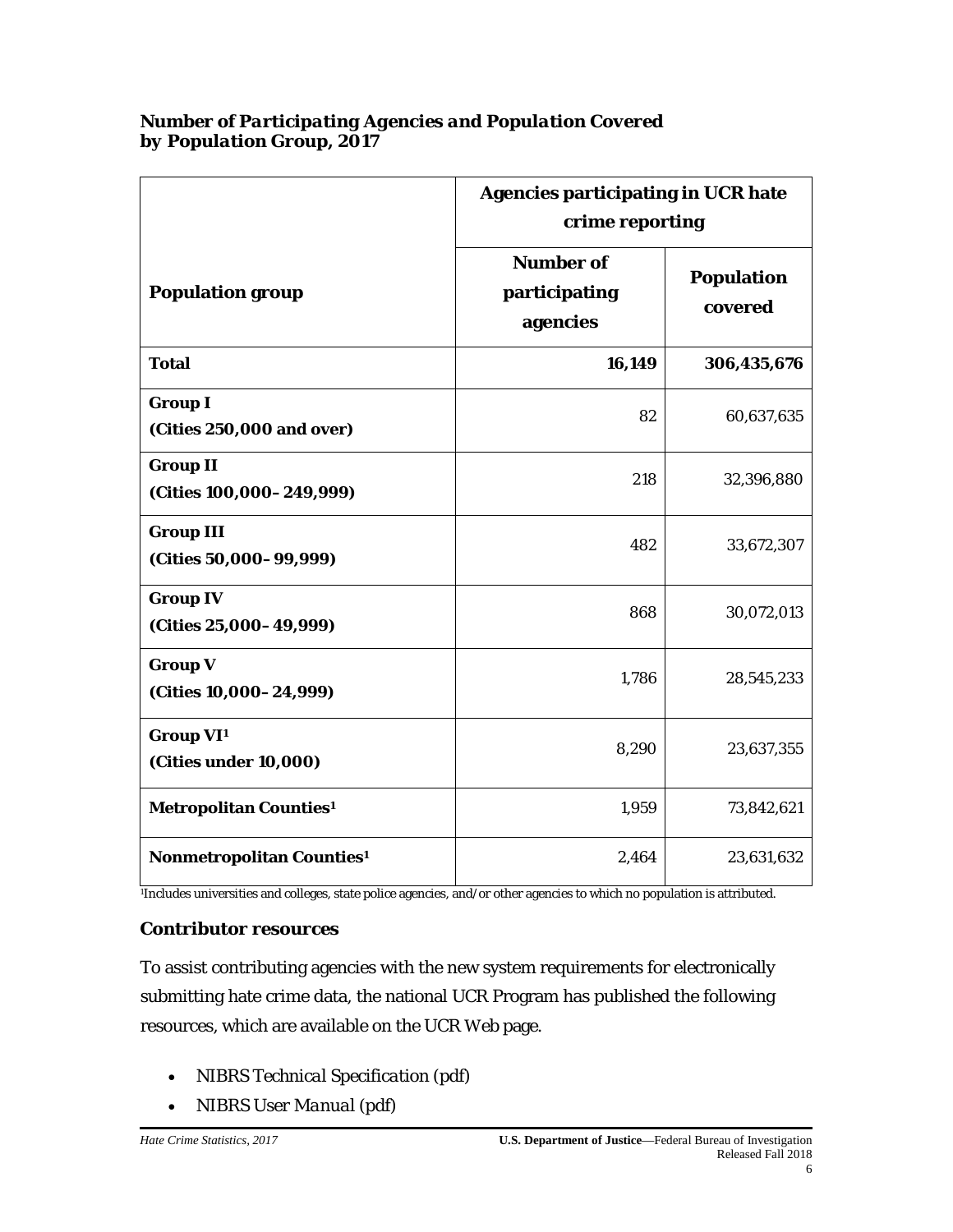# **Agencies participating in UCR hate crime reporting Population group Number of participating agencies Population covered Total 16,149 306,435,676 Group I (Cities 250,000 and over)** 82 60,637,635 **Group II (Cities 100,000–249,999)** 218 32,396,880 **Group III (Cities 50,000–99,999)** 482 33,672,307 **Group IV (Cities 25,000–49,999)** 868 30,072,013 **Group V (Cities 10,000–24,999)** 1,786 28,545,233 **Group VI1 (Cities under 10,000)** 8,290 8,290 **Metropolitan Counties<sup>1</sup> 1,959 73,842,621 Nonmetropolitan Counties<sup>1</sup>** 1 23,631,632

#### *Number of Participating Agencies and Population Covered by Population Group, 2017*

1Includes universities and colleges, state police agencies, and/or other agencies to which no population is attributed.

#### *Contributor resources*

To assist contributing agencies with the new system requirements for electronically submitting hate crime data, the national UCR Program has published the following resources, which are available on th[e UCR](http://www.fbi.gov/about-us/cjis/ucr) Web page.

- *[NIBRS Technical Specification](http://www.fbi.gov/about-us/cjis/ucr/nibrs_technical_specification_version_1.0_final_04-16-2012.pdf)* (pdf)
- *[NIBRS User](http://www.fbi.gov/about-us/cjis/ucr/nibrs/nibrs-user-manual) Manual* (pdf)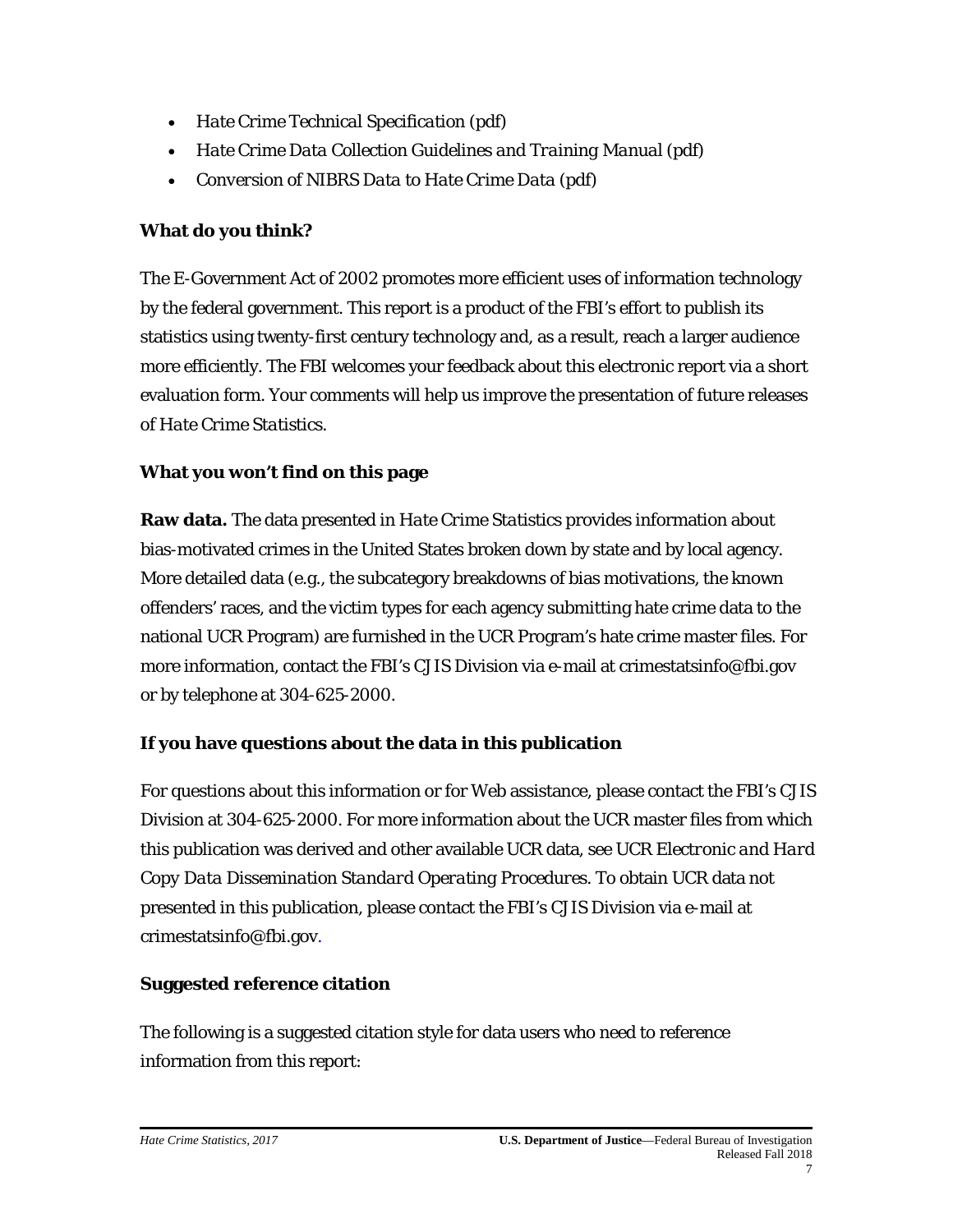- *Hate Crime [Technical Specification](http://www.fbi.gov/about-us/cjis/ucr/technical-specification)* (pdf)
- *Hate Crime Data Collection [Guidelines and Training Manual](http://www.fbi.gov/about-us/cjis/ucr/data-collection-manual)* (pdf)
- *Conversion of NIBRS Data to Hate Crime Data* (pdf)

# **What do you think?**

The E-Government Act of 2002 promotes more efficient uses of information technology by the federal government. This report is a product of the FBI's effort to publish its statistics using twenty-first century technology and, as a result, reach a larger audience more efficiently. The FBI welcomes your [feedback](file://file.omninet.fbi/omnicommon/Common/CommUnit/Hate%20Crime%20Main%20File/Hate%20Crime%202017/5%20Final/Resource%20Pages/feedback_form) about this electronic report via a short evaluation form. Your comments will help us improve the presentation of future releases of *Hate Crime Statistics*.

# **What you won't find on this page**

**Raw data.** The data presented in *Hate Crime Statistics* provides information about bias-motivated crimes in the United States broken down by state and by local agency. More detailed data (e.g., the subcategory breakdowns of bias motivations, the known offenders' races, and the victim types for each agency submitting hate crime data to the national UCR Program) are furnished in the UCR Program's hate crime master files. For more information, contact the FBI's CJIS Division via e-mail at [crimestatsinfo@fbi.gov](mailto:crimestatsinfo@fbi.gov) or by telephone at 304-625-2000.

# **If you have questions about the data in this publication**

For questions about this information or for Web assistance, please contact the FBI's CJIS Division at 304-625-2000. For more information about the UCR master files from which this publication was derived and other available UCR data, see *[UCR Electronic and Hard](http://www.fbi.gov/about-us/cjis/ucr/additional-ucr-publications/ucr_dissemination_sops.pdf)  [Copy Data Dissemination Standard Operating Procedures](http://www.fbi.gov/about-us/cjis/ucr/additional-ucr-publications/ucr_dissemination_sops.pdf)*. To obtain UCR data not presented in this publication, please contact the FBI's CJIS Division via e-mail at [crimestatsinfo@fbi.gov.](mailto:crimestatsinfo@fbi.gov)

# **Suggested reference citation**

The following is a suggested citation style for data users who need to reference information from this report: